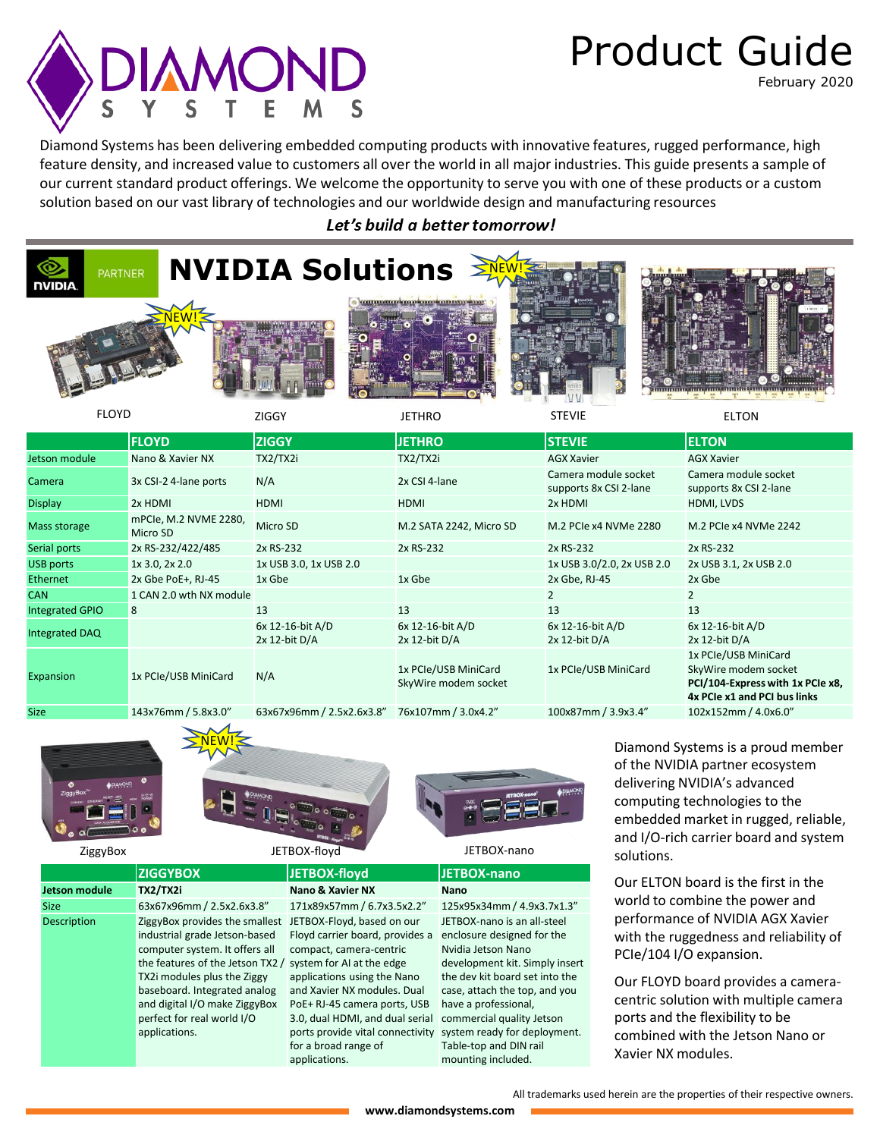# **DIAMOND**

# Product Guide

February 2020

Diamond Systems has been delivering embedded computing products with innovative features, rugged performance, high feature density, and increased value to customers all over the world in all major industries. This guide presents a sample of our current standard product offerings. We welcome the opportunity to serve you with one of these products or a custom solution based on our vast library of technologies and our worldwide design and manufacturing resources

Let's build a better tomorrow!



Size 143x76mm / 5.8x3.0" 63x67x96mm / 2.5x2.6x3.8" 76x107mm / 3.0x4.2" 100x87mm / 3.9x3.4" 102x152mm / 4.0x6.0"



industrial grade Jetson-based computer system. It offers all

TX2i modules plus the Ziggy baseboard. Integrated analog and digital I/O make ZiggyBox perfect for real world I/O

applications.





ZiggyBox JETBOX-floyd JETBOX-nano

### **ZIGGYBOX JETBOX-floyd JETBOX-nano Jetson module TX2/TX2i Nano & Xavier NX Nano**

Size 63x67x96mm / 2.5x2.6x3.8" 171x89x57mm / 6.7x3.5x2.2" 125x95x34mm / 4.9x3.7x1.3" Description **ZiggyBox provides the smallest** JETBOX-Floyd, based on our the features of the Jetson TX2 / system for AI at the edge Floyd carrier board, provides a compact, camera-centric applications using the Nano and Xavier NX modules. Dual PoE+ RJ-45 camera ports, USB 3.0, dual HDMI, and dual serial ports provide vital connectivity for a broad range of applications.

JETBOX-nano is an all-steel enclosure designed for the Nvidia Jetson Nano development kit. Simply insert the dev kit board set into the case, attach the top, and you have a professional, commercial quality Jetson system ready for deployment. Table-top and DIN rail mounting included.

Diamond Systems is a proud member of the NVIDIA partner ecosystem delivering NVIDIA's advanced computing technologies to the embedded market in rugged, reliable, and I/O-rich carrier board and system solutions.

Our ELTON board is the first in the world to combine the power and performance of NVIDIA AGX Xavier with the ruggedness and reliability of PCIe/104 I/O expansion.

Our FLOYD board provides a cameracentric solution with multiple camera ports and the flexibility to be combined with the Jetson Nano or Xavier NX modules.

All trademarks used herein are the properties of their respective owners.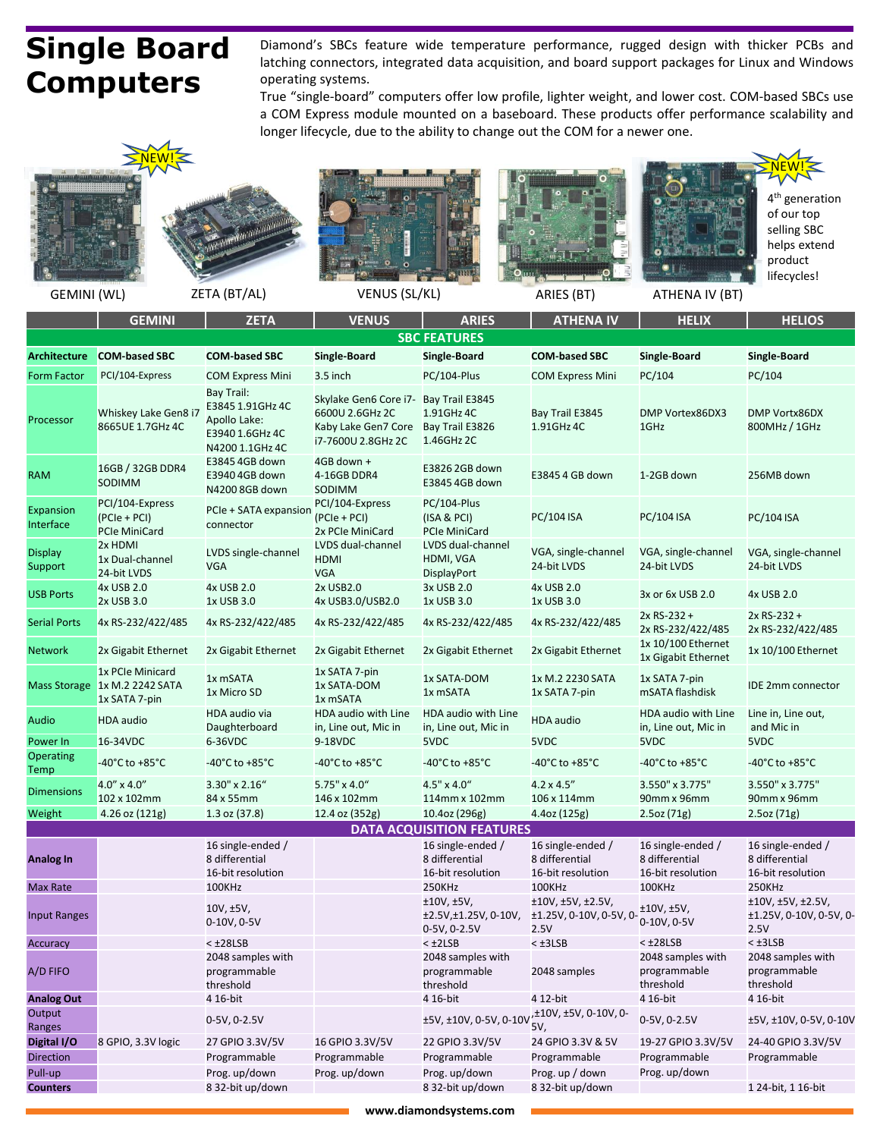# **Single Board Computers**

Diamond's SBCs feature wide temperature performance, rugged design with thicker PCBs and latching connectors, integrated data acquisition, and board support packages for Linux and Windows operating systems.

True "single-board" computers offer low profile, lighter weight, and lower cost. COM-based SBCs use a COM Express module mounted on a baseboard. These products offer performance scalability and longer lifecycle, due to the ability to change out the COM for a newer one.













GEMINI (WL) ZETA (BT/AL) VENUS (SL/KL) ARIES (BT) ATHENA IV (BT)

|                               | <b>GEMINI</b>                                                      | <b>ZETA</b>                                                                          | <b>VENUS</b>                                                                          | <b>ARIES</b>                                                   | <b>ATHENA IV</b>                                         | <b>HELIX</b>                                             | <b>HELIOS</b>                                            |
|-------------------------------|--------------------------------------------------------------------|--------------------------------------------------------------------------------------|---------------------------------------------------------------------------------------|----------------------------------------------------------------|----------------------------------------------------------|----------------------------------------------------------|----------------------------------------------------------|
|                               |                                                                    |                                                                                      |                                                                                       | <b>SBC FEATURES</b>                                            |                                                          |                                                          |                                                          |
| Architecture                  | <b>COM-based SBC</b>                                               | <b>COM-based SBC</b>                                                                 | <b>Single-Board</b>                                                                   | Single-Board                                                   | <b>COM-based SBC</b>                                     | <b>Single-Board</b>                                      | <b>Single-Board</b>                                      |
| <b>Form Factor</b>            | PCI/104-Express                                                    | <b>COM Express Mini</b>                                                              | 3.5 inch                                                                              | PC/104-Plus                                                    | <b>COM Express Mini</b>                                  | PC/104                                                   | PC/104                                                   |
| Processor                     | Whiskey Lake Gen8 i7<br>8665UE 1.7GHz 4C                           | Bay Trail:<br>E3845 1.91GHz 4C<br>Apollo Lake:<br>E3940 1.6GHz 4C<br>N4200 1.1GHz 4C | Skylake Gen6 Core i7-<br>6600U 2.6GHz 2C<br>Kaby Lake Gen7 Core<br>i7-7600U 2.8GHz 2C | Bay Trail E3845<br>1.91GHz 4C<br>Bay Trail E3826<br>1.46GHz 2C | Bay Trail E3845<br>1.91GHz 4C                            | DMP Vortex86DX3<br>1GHz                                  | DMP Vortx86DX<br>800MHz / 1GHz                           |
| <b>RAM</b>                    | 16GB / 32GB DDR4<br>SODIMM                                         | E3845 4GB down<br>E3940 4GB down<br>N4200 8GB down                                   | 4GB down +<br>4-16GB DDR4<br>SODIMM                                                   | E3826 2GB down<br>E3845 4GB down                               | E3845 4 GB down                                          | 1-2GB down                                               | 256MB down                                               |
| <b>Expansion</b><br>Interface | PCI/104-Express<br>(PCIe + PCI)<br><b>PCIe MiniCard</b>            | PCIe + SATA expansion<br>connector                                                   | PCI/104-Express<br>(PCIe + PCI)<br>2x PCIe MiniCard                                   | PC/104-Plus<br>(ISA & PCI)<br><b>PCIe MiniCard</b>             | PC/104 ISA                                               | PC/104 ISA                                               | PC/104 ISA                                               |
| Display<br>Support            | 2x HDMI<br>1x Dual-channel<br>24-bit LVDS                          | LVDS single-channel<br><b>VGA</b>                                                    | LVDS dual-channel<br>HDMI<br><b>VGA</b>                                               | LVDS dual-channel<br>HDMI, VGA<br><b>DisplayPort</b>           | VGA, single-channel<br>24-bit LVDS                       | VGA, single-channel<br>24-bit LVDS                       | VGA, single-channel<br>24-bit LVDS                       |
| <b>USB Ports</b>              | 4x USB 2.0<br>2x USB 3.0                                           | 4x USB 2.0<br>1x USB 3.0                                                             | 2x USB2.0<br>4x USB3.0/USB2.0                                                         | 3x USB 2.0<br>1x USB 3.0                                       | 4x USB 2.0<br>1x USB 3.0                                 | 3x or 6x USB 2.0                                         | 4x USB 2.0                                               |
| Serial Ports                  | 4x RS-232/422/485                                                  | 4x RS-232/422/485                                                                    | 4x RS-232/422/485                                                                     | 4x RS-232/422/485                                              | 4x RS-232/422/485                                        | 2x RS-232 +<br>2x RS-232/422/485                         | 2x RS-232+<br>2x RS-232/422/485                          |
| <b>Network</b>                | 2x Gigabit Ethernet                                                | 2x Gigabit Ethernet                                                                  | 2x Gigabit Ethernet                                                                   | 2x Gigabit Ethernet                                            | 2x Gigabit Ethernet                                      | 1x 10/100 Ethernet<br>1x Gigabit Ethernet                | 1x 10/100 Ethernet                                       |
|                               | 1x PCIe Minicard<br>Mass Storage 1x M.2 2242 SATA<br>1x SATA 7-pin | 1x mSATA<br>1x Micro SD                                                              | 1x SATA 7-pin<br>1x SATA-DOM<br>1x mSATA                                              | 1x SATA-DOM<br>1x mSATA                                        | 1x M.2 2230 SATA<br>1x SATA 7-pin                        | 1x SATA 7-pin<br>mSATA flashdisk                         | IDE 2mm connector                                        |
| Audio                         | HDA audio                                                          | HDA audio via<br>Daughterboard                                                       | HDA audio with Line<br>in, Line out, Mic in                                           | HDA audio with Line<br>in, Line out, Mic in                    | <b>HDA</b> audio                                         | HDA audio with Line<br>in, Line out, Mic in              | Line in, Line out,<br>and Mic in                         |
| Power In                      | 16-34VDC                                                           | 6-36VDC                                                                              | 9-18VDC                                                                               | 5VDC                                                           | 5VDC                                                     | 5VDC                                                     | 5VDC                                                     |
| Operating<br>Temp             | -40°C to +85°C                                                     | -40°C to +85°C                                                                       | -40°C to +85°C                                                                        | -40°C to +85°C                                                 | -40°C to +85°C                                           | -40°C to +85°C                                           | -40°C to +85°C                                           |
| <b>Dimensions</b>             | $4.0'' \times 4.0''$<br>102 x 102mm                                | 3.30" x 2.16"<br>84 x 55mm                                                           | 5.75" x 4.0"<br>146 x 102mm                                                           | $4.5'' \times 4.0''$<br>114mm x 102mm                          | $4.2 \times 4.5''$<br>106 x 114mm                        | 3.550" x 3.775"<br>90mm x 96mm                           | 3.550" x 3.775"<br>90mm x 96mm                           |
| Weight                        | 4.26 oz $(121g)$                                                   | 1.3 oz (37.8)                                                                        | 12.4 oz (352g)                                                                        | 10.4oz (296g)                                                  | 4.4oz (125g)                                             | 2.5oz(71g)                                               | 2.5oz (71g)                                              |
|                               |                                                                    |                                                                                      |                                                                                       | <b>DATA ACQUISITION FEATURES</b>                               |                                                          |                                                          |                                                          |
| Analog In                     |                                                                    | 16 single-ended /<br>8 differential<br>16-bit resolution                             |                                                                                       | 16 single-ended /<br>8 differential<br>16-bit resolution       | 16 single-ended /<br>8 differential<br>16-bit resolution | 16 single-ended /<br>8 differential<br>16-bit resolution | 16 single-ended /<br>8 differential<br>16-bit resolution |
| Max Rate                      |                                                                    | 100KHz                                                                               |                                                                                       | 250KHz                                                         | 100KHz                                                   | 100KHz                                                   | 250KHz                                                   |
| <b>Input Ranges</b>           |                                                                    | 10V, ±5V,<br>0-10V, 0-5V                                                             |                                                                                       | ±10V, ±5V,<br>±2.5V,±1.25V, 0-10V,<br>0-5V, 0-2.5V             | ±10V, ±5V, ±2.5V,<br>±1.25V, 0-10V, 0-5V, 0<br>2.5V      | ±10V, ±5V,<br>0-10V, 0-5V                                | ±10V, ±5V, ±2.5V,<br>±1.25V, 0-10V, 0-5V, 0-<br>2.5V     |
| Accuracy                      |                                                                    | $<$ $\pm$ 28LSB                                                                      |                                                                                       | < ±2LSB                                                        | $<$ $±3LSB$                                              | $<$ $±28LSB$                                             | $<$ $\pm$ 3LSB                                           |
| A/D FIFO                      |                                                                    | 2048 samples with<br>programmable<br>threshold                                       |                                                                                       | 2048 samples with<br>programmable<br>threshold                 | 2048 samples                                             | 2048 samples with<br>programmable<br>threshold           | 2048 samples with<br>programmable<br>threshold           |
| <b>Analog Out</b>             |                                                                    | 4 16-bit                                                                             |                                                                                       | 4 16-bit                                                       | 4 12-bit                                                 | 4 16-bit                                                 | 4 16-bit                                                 |
| Output<br>Ranges              |                                                                    | 0-5V, 0-2.5V                                                                         |                                                                                       | ±5V, ±10V, 0-5V, 0-10V                                         | ,±10V, ±5V, 0-10V, 0-<br>5٧,                             | 0-5V, 0-2.5V                                             | ±5V, ±10V, 0-5V, 0-10V                                   |
| Digital I/O                   | 8 GPIO, 3.3V logic                                                 | 27 GPIO 3.3V/5V                                                                      | 16 GPIO 3.3V/5V                                                                       | 22 GPIO 3.3V/5V                                                | 24 GPIO 3.3V & 5V                                        | 19-27 GPIO 3.3V/5V                                       | 24-40 GPIO 3.3V/5V                                       |
| <b>Direction</b>              |                                                                    | Programmable                                                                         | Programmable                                                                          | Programmable                                                   | Programmable                                             | Programmable                                             | Programmable                                             |
| Pull-up                       |                                                                    | Prog. up/down                                                                        | Prog. up/down                                                                         | Prog. up/down                                                  | Prog. up / down                                          | Prog. up/down                                            |                                                          |
| Counters                      |                                                                    | 8 32-bit up/down                                                                     |                                                                                       | 8 32-bit up/down                                               | 8 32-bit up/down                                         |                                                          | 1 24-bit, 1 16-bit                                       |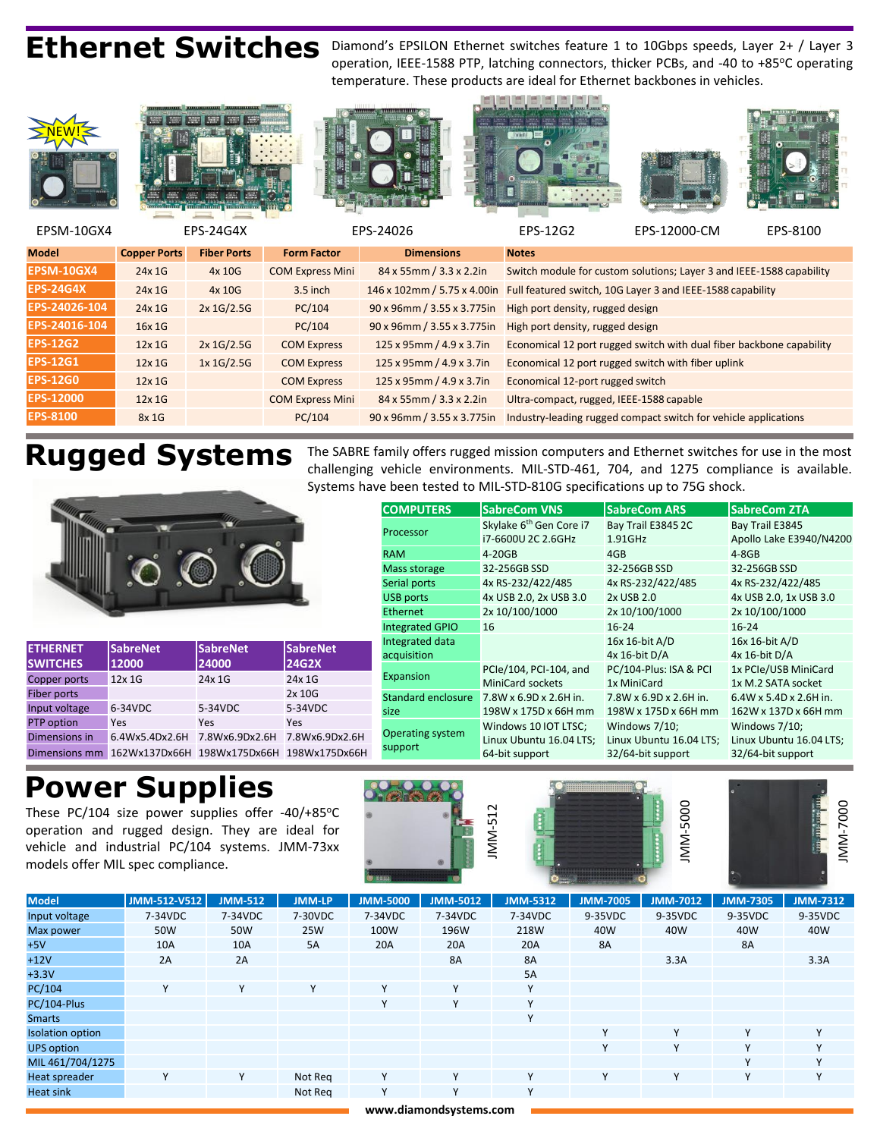Ethernet Switches Diamond's EPSILON Ethernet switches feature 1 to 10Gbps speeds, Layer 2+ / Layer 3 operation, IEEE-1588 PTP, latching connectors, thicker PCBs, and -40 to +85°C operating temperature. These products are ideal for Ethernet backbones in vehicles.



| <b>EPS-12G2</b>  | 12x1G | $2x$ 1G/2.5G | <b>COM Express</b>      | 125 x 95mm / 4.9 x 3.7in   | Economical 12 port rugged switch with dual fiber backbone capabil |
|------------------|-------|--------------|-------------------------|----------------------------|-------------------------------------------------------------------|
| <b>EPS-12G1</b>  | 12x1G | 1x 1G/2.5G   | <b>COM Express</b>      | 125 x 95mm / 4.9 x 3.7in   | Economical 12 port rugged switch with fiber uplink                |
| <b>EPS-12G0</b>  | 12x1G |              | <b>COM Express</b>      | 125 x 95mm / 4.9 x 3.7in   | Economical 12-port rugged switch                                  |
| <b>EPS-12000</b> | 12x1G |              | <b>COM Express Mini</b> | 84 x 55mm / 3.3 x 2.2in    | Ultra-compact, rugged, IEEE-1588 capable                          |
| <b>EPS-8100</b>  | 8x1G  |              | PC/104                  | 90 x 96mm / 3.55 x 3.775in | Industry-leading rugged compact switch for vehicle applications   |

**Rugged Systems** The SABRE family offers rugged mission computers and Ethernet switches for use in the most challenging vehicle environments. MIL-STD-461, 704, and 1275 compliance is available. Systems have been tested to MIL-STD-810G specifications up to 75G shock.



| <b>ETHERNET</b><br><b>SWITCHES</b> | <b>SabreNet</b><br>12000      | <b>SabreNet</b><br>24000 | <b>SabreNet</b><br><b>24G2X</b> |
|------------------------------------|-------------------------------|--------------------------|---------------------------------|
| Copper ports                       | 12x 1G                        | 24x 1G                   | 24x 1G                          |
| Fiber ports                        |                               |                          | 2x 10G                          |
| Input voltage                      | 6-34VDC                       | 5-34VDC                  | 5-34VDC                         |
| PTP option                         | Yes                           | Yes                      | Yes                             |
| Dimensions in                      | 6.4Wx5.4Dx2.6H 7.8Wx6.9Dx2.6H |                          | 7.8Wx6.9Dx2.6H                  |
| Dimensions mm                      |                               |                          |                                 |

### **COMPUTERS** SabreCom VNS SabreCom ARS SabreCom ZTA Processor Skylake  $6^{th}$  Gen Core i7 i7-6600U 2C 2.6GHz Bay Trail E3845 2C 1.91GHz Bay Trail E3845 Apollo Lake E3940/N4200 RAM 4-20GB 4-20GB 4GB 4GB 4-8GB Mass storage 32-256GB SSD 32-256GB SSD 32-256GB SSD Serial ports 4x RS-232/422/485 4x RS-232/422/485 4x RS-232/422/485 USB ports 4x USB 2.0, 2x USB 3.0 2x USB 2.0 4x USB 2.0, 1x USB 3.0 Ethernet 2x 10/100/1000 2x 10/100/1000 2x 10/100/1000 Integrated GPIO 16 16-24 16-24 16-24 Integrated data acquisition 16x 16-bit A/D 4x 16-bit D/A 16x 16-bit A/D 4x 16-bit D/A Expansion PCIe/104, PCI-104, and MiniCard sockets PC/104-Plus: ISA & PCI 1x MiniCard 1x PCIe/USB MiniCard 1x M.2 SATA socket Standard enclosure size 7.8W x 6.9D x 2.6H in. 198W x 175D x 66H mm 7.8W x 6.9D x 2.6H in. 198W x 175D x 66H mm 6.4W x 5.4D x 2.6H in. 162W x 137D x 66H mm Operating system support Windows 10 IOT LTSC: Linux Ubuntu 16.04 LTS; 64-bit support Windows 7/10; Linux Ubuntu 16.04 LTS; 32/64-bit support Windows 7/10; Linux Ubuntu 16.04 LTS; 32/64-bit support

## **Power Supplies**

These PC/104 size power supplies offer -40/+85 $°C$ operation and rugged design. They are ideal for vehicle and industrial PC/104 systems. JMM-73xx models offer MIL spec compliance.



| <b>Model</b>            | JMM-512-V512 | <b>JMM-512</b> | <b>JMM-LP</b> | <b>JMM-5000</b> | <b>JMM-5012</b> | <b>JMM-5312</b> | <b>JMM-7005</b> | <b>JMM-7012</b> | <b>JMM-7305</b> | <b>JMM-7312</b> |
|-------------------------|--------------|----------------|---------------|-----------------|-----------------|-----------------|-----------------|-----------------|-----------------|-----------------|
| Input voltage           | 7-34VDC      | 7-34VDC        | 7-30VDC       | 7-34VDC         | 7-34VDC         | 7-34VDC         | 9-35VDC         | 9-35VDC         | 9-35VDC         | 9-35VDC         |
| Max power               | 50W          | 50W            | 25W           | 100W            | 196W            | 218W            | 40W             | 40W             | 40W             | 40W             |
| $+5V$                   | 10A          | 10A            | 5A            | 20A             | 20A             | 20A             | 8A              |                 | <b>8A</b>       |                 |
| $+12V$                  | 2A           | 2A             |               |                 | <b>8A</b>       | <b>8A</b>       |                 | 3.3A            |                 | 3.3A            |
| $+3.3V$                 |              |                |               |                 |                 | 5A              |                 |                 |                 |                 |
| PC/104                  | Y            | Y              | Y             | Y               | v               | Y               |                 |                 |                 |                 |
| PC/104-Plus             |              |                |               | Υ               | $\checkmark$    | Y               |                 |                 |                 |                 |
| <b>Smarts</b>           |              |                |               |                 |                 | v               |                 |                 |                 |                 |
| <b>Isolation option</b> |              |                |               |                 |                 |                 | Y               | Y               | $\mathsf{v}$    | $\vee$          |
| <b>UPS option</b>       |              |                |               |                 |                 |                 | Y               | v               | $\checkmark$    | $\mathsf{v}$    |
| MIL 461/704/1275        |              |                |               |                 |                 |                 |                 |                 | $\mathsf{v}$    | v               |
| Heat spreader           | Y            | Υ              | Not Reg       | Y               | $\vee$          | $\mathbf v$     | Υ               | Y               | Y               | $\mathsf{v}$    |
| Heat sink               |              |                | Not Reg       | Y               | Y               | Y               |                 |                 |                 |                 |

**www.diamondsystems.com**